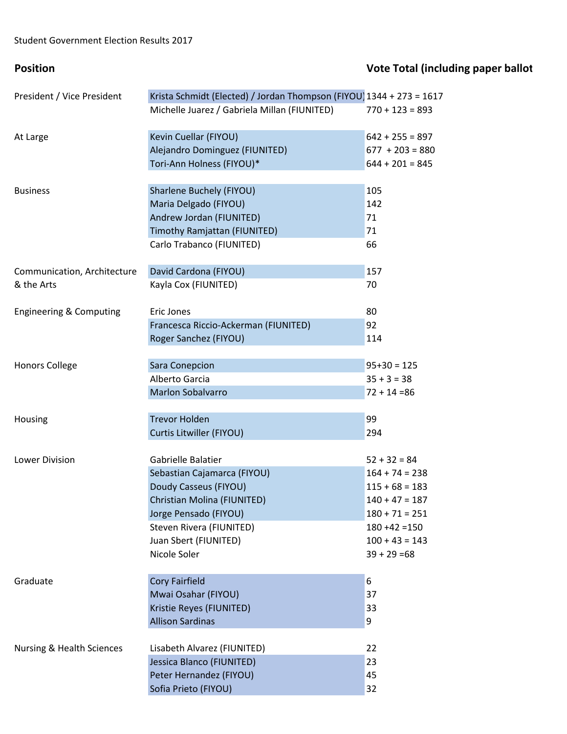## **Position Vote Total (including paper ballot**) President / Vice President Krista Schmidt (Elected) / Jordan Thompson (FIYOU) 1344 + 273 = 1617 Michelle Juarez / Gabriela Millan (FIUNITED) 770 + 123 = 893 At Large **Kevin Cuellar (FIYOU)** 642 + 255 = 897 Alejandro Dominguez (FIUNITED) 677 + 203 = 880 Tori-Ann Holness (FIYOU)\* 644 + 201 = 845 Business **Sharlene Buchely (FIYOU)** 105 Maria Delgado (FIYOU) 142 Andrew Jordan (FIUNITED) 71 Timothy Ramjattan (FIUNITED) 71 Carlo Trabanco (FIUNITED) 66 Communication, Architecture David Cardona (FIYOU) 157 & the Arts **Example 20 Service Control** Kayla Cox (FIUNITED) 30 Engineering & Computing Eric Jones 80 Francesca Riccio-Ackerman (FIUNITED) 92 Roger Sanchez (FIYOU) 114 Honors College Sara Conepcion 6 and the Sara Conepcion 95+30 = 125 Alberto Garcia  $35 + 3 = 38$ Marlon Sobalvarro 72 + 14 =86 Housing **Trevor Holden Trevor Holden 199** Curtis Litwiller (FIYOU) 294 Lower Division Gabrielle Balatier 52 + 32 = 84 Sebastian Cajamarca (FIYOU) 164 + 74 = 238 Doudy Casseus (FIYOU) 115 + 68 = 183 Christian Molina (FIUNITED) 140 + 47 = 187 Jorge Pensado (FIYOU) 180 + 71 = 251 Steven Rivera (FIUNITED) 180 +42 =150 Juan Sbert (FIUNITED) 100 + 43 = 143 Nicole Soler  $39 + 29 = 68$ Graduate **Cory Fairfield** 6 and 5 and 6 and 6 and 6 and 6 and 6 and 6 and 6 and 6 and 6 and 6 and 6 and 6 and 6 and 6 and 6 and 6 and 6 and 6 and 6 and 6 and 6 and 6 and 6 and 6 and 6 and 6 and 6 and 6 and 6 and 6 and 6 an Mwai Osahar (FIYOU) 37 Kristie Reyes (FIUNITED) 33 Allison Sardinas 9 Nursing & Health Sciences Lisabeth Alvarez (FIUNITED) 22 Jessica Blanco (FIUNITED) 23 Peter Hernandez (FIYOU) **45** Sofia Prieto (FIYOU) 32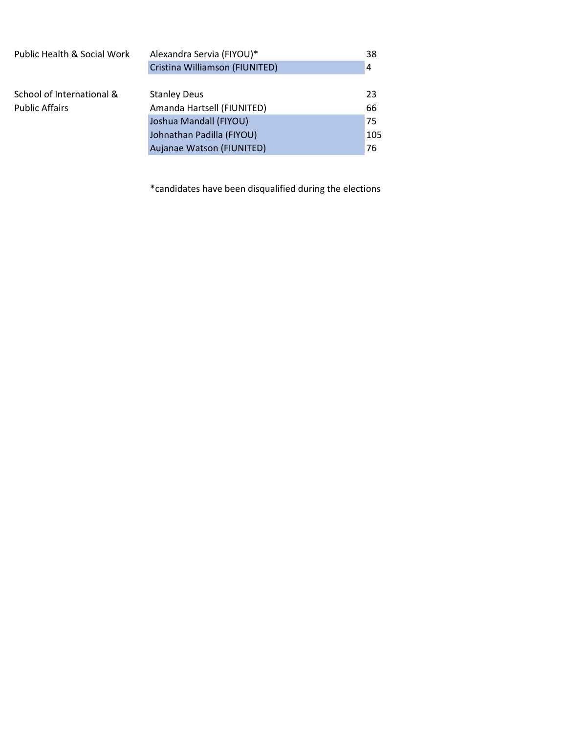| Public Health & Social Work | Alexandra Servia (FIYOU)*      | 38             |
|-----------------------------|--------------------------------|----------------|
|                             | Cristina Williamson (FIUNITED) | $\overline{4}$ |
|                             |                                |                |
| School of International &   | <b>Stanley Deus</b>            | 23             |
| <b>Public Affairs</b>       | Amanda Hartsell (FIUNITED)     | 66             |
|                             | Joshua Mandall (FIYOU)         | 75             |
|                             | Johnathan Padilla (FIYOU)      | 105            |
|                             | Aujanae Watson (FIUNITED)      | 76             |

\*candidates have been disqualified during the elections